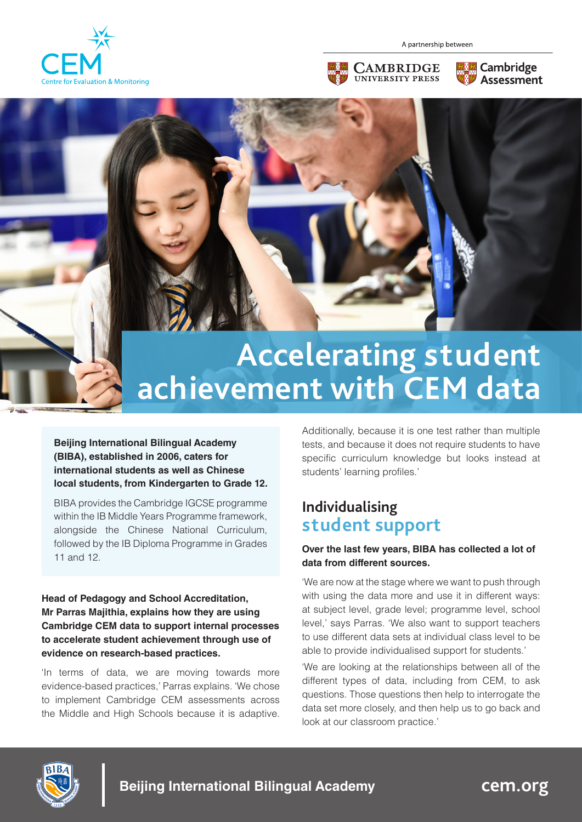

A partnership between







# **Accelerating student**  Accelerating student<br>achievement with CEM data

**Beijing International Bilingual Academy (BIBA), established in 2006, caters for international students as well as Chinese local students, from Kindergarten to Grade 12.** 

BIBA provides the Cambridge IGCSE programme within the IB Middle Years Programme framework, alongside the Chinese National Curriculum, followed by the IB Diploma Programme in Grades 11 and 12.

**Head of Pedagogy and School Accreditation, Mr Parras Majithia, explains how they are using Cambridge CEM data to support internal processes to accelerate student achievement through use of evidence on research-based practices.**

'In terms of data, we are moving towards more evidence-based practices,' Parras explains. 'We chose to implement Cambridge CEM assessments across the Middle and High Schools because it is adaptive. Additionally, because it is one test rather than multiple tests, and because it does not require students to have specific curriculum knowledge but looks instead at students' learning profiles.'

## **Individualising student support**

### **Over the last few years, BIBA has collected a lot of data from different sources.**

'We are now at the stage where we want to push through with using the data more and use it in different ways: at subject level, grade level; programme level, school level,' says Parras. 'We also want to support teachers to use different data sets at individual class level to be able to provide individualised support for students.'

'We are looking at the relationships between all of the different types of data, including from CEM, to ask questions. Those questions then help to interrogate the data set more closely, and then help us to go back and look at our classroom practice.'